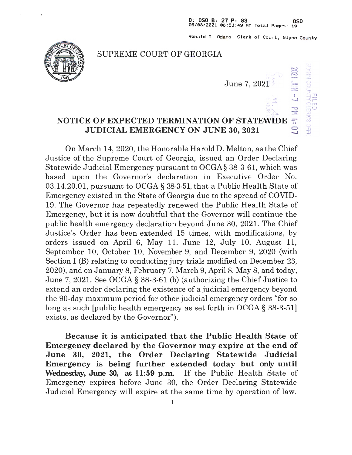Ronald M. Adams, Clerk of Court, Glynn County



#### SUPREME COURT OF GEORGIA

 $\bar{\vec{z}}$  ,  $\vec{z}$ 

 $\lim_{\epsilon\to 0} \frac{\sin\theta}{\epsilon}$ 

 $\widehat{\mathfrak{D}}$ 

# June 7, 2021<br>  $\begin{array}{ccc}\n & \stackrel{\text{def}}{=} & \stackrel{\text{def}}{=} \\
 & \downarrow \downarrow \\
\text{OF STATEWIDE} & \stackrel{\text{def}}{=} & \stackrel{\text{def}}{=} \\
\end{array}$ **NOTICE OF EXPECTED TERMINATION OF STATEWIDE**  $\frac{1}{2}$ **.**<br>JUDICIAL EMERGENCY ON JUNE 30, 2021 **JUDICIAL EMERGENCY ON JUNE 30, 2021**

On March 14, 2020, the Honorable Harold D. Melton, as the Chief Justice of the Supreme Court of Georgia, issued an Order Declaring Statewide Judicial Emergency pursuant to OCGA § 38-3-61, which was based upon the Governor's declaration in Executive Order No. 03.14.20.01, pursuant to OCGA  $\S$  38-3-51, that a Public Health State of Emergency existed in the State of Georgia due to the spread of COVID-19. The Governor has repeatedly renewed the Public Health State of Emergency, but it is now doubtful that the Governor will continue the public health emergency declaration beyond June 30, 2021. The Chief Justice's Order has been extended 15 times, with modifications, by orders issued on April 6, May 11, June 12, July 10, August 11, September 10, October 10, November 9, and December 9, 2020 (with Section I (B) relating to conducting jury trials modified on December 23, 2020), and on January 8, February 7, March 9, April 8, May 8, and today, June 7, 2021. See OCGA § 38-3-61 (b) (authorizing the Chief Justice to extend an order declaring the existence of a judicial emergency beyond the 90-day **maximum** period for other judicial emergency orders "for so long as such [public health emergency as set forth in OCGA § 38-3-51] exists, as declared by the Governor").

**Because it is anticipated that the Public Health State of Emergency declared by the Governor may expire at the end of June 30, 2021, the Order Declaring Statewide Judicial Emergency is being further extended today but only until Wednesday, June 30, at 11:59 p.m.** If the Public Health State of Emergency expires before June 30, the Order Declaring Statewide Judicial Emergency will expire at the same time by operation of law.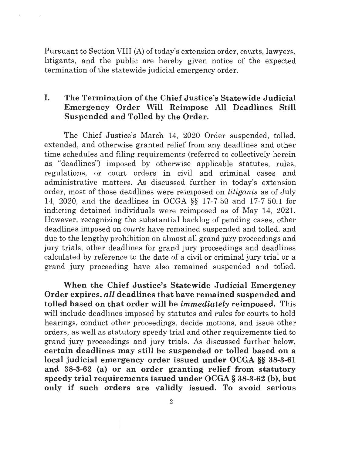Pursuant to Section VIII (A) of today's extension order, courts, lawyers, litigants, and the public are hereby given notice of the expected termination of the statewide judicial emergency order.

## **I. The Termination of the Chief Justice's Statewide Judicial Emergency Order Will Reimpose All Deadlines Still Suspended and Tolled by the Order.**

The Chief Justice's March 14, 2020 Order suspended, tolled, extended, and otherwise granted relief from any deadlines and other time schedules and filing requirements (referred to collectively herein as "deadlines") imposed by otherwise applicable statutes, rules, regulations, or court orders in civil and criminal cases and administrative matters. As discussed further in today's extension order, most of those deadlines were reimposed on *litigants* as of July 14, 2020, and the deadlines in OCGA §§ 17-7-50 and 17-7-50.1 for indicting detained individuals were reimposed as of May 14, 2021. However, recognizing the substantial backlog of pending cases, other deadlines imposed on *courts* have remained suspended and tolled, and due to the lengthy prohibition on almost all grand jury proceedings and jury trials, other deadlines for grand jury proceedings and deadlines calculated by reference to the date of a civil or criminal jury trial or a grand jury proceeding have also remained suspended and tolled.

**When the Chief Justice's Statewide Judicial Emergency Order expires,** *all* **deadlines that have remained suspended and tolled based on that order will be** *immediately* **reimposed. This** will include deadlines imposed by statutes and rules for courts to hold hearings, conduct other proceedings, decide motions, and issue other orders, as well as statutory speedy trial and other requirements tied to grand jury proceedings and jury trials. As discussed further below, **certain deadlines may still be suspended or tolled based on a**  local judicial emergency order issued under OCGA §§ 38-3-61 **and 38-3-62 (a) or an order granting relief from statutory speedy trial requirements issued under OCGA § 38-3-62 (b), but only if such orders are validly issued. To avoid serious**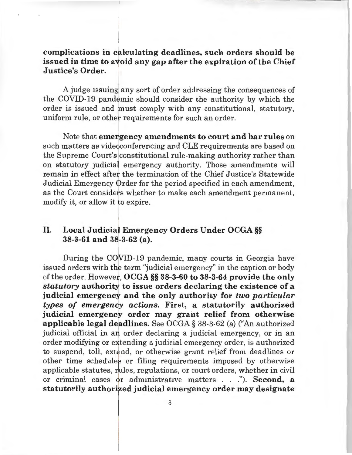**complications in calculating deadlines, such orders should be issued in time to avoid any gap after the expiration of the Chief Justice's Order.** 

A judge issuing any sort of order addressing the consequences of the COVID-19 pandemic should consider the authority by which the order is issued and must comply with any constitutional, statutory, uniform rule, or other requirements for such an order.

Note that **eme~gency amendments to court and bar rules** on such matters as videoconferencing and CLE requirements are based on the Supreme Court's constitutional rule-making authority rather than on statutory judicial emergency authority. Those amendments will remain in effect after the termination of the Chief Justice's Statewide Judicial Emergency Order for the period specified in each amendment, as the Court considers whether to make each amendment permanent, modify it, or allow it to expire.

## II. Local Judicial Emergency Orders Under OCGA §§ **38-3-61 and 38-3-62 (a).**

During the COVID-19 pandemic, many courts in Georgia have issued orders with the term "judicial emergency" in the caption or body of the order. However, OCGA §§ 38-3-60 to 38-3-64 provide the only *statutory* authority to issue orders declaring the existence of a **judicial emergency and the only authority for** *two particular types of emergency actions.* First, a statutorily authorized judicial emergency order may grant relief from otherwise **applicable legal deadlines.** See OCGA § 38-3-62 (a) ("An authorized judicial official in an order declaring a judicial emergency, or in an order modifying or extending a judicial emergency order, is authorized to suspend, toll, extend, or otherwise grant relief from deadlines or<br>other time schedules or filing requirements imposed by otherwise other time schedules or filing requirements imposed by otherwise applicable statutes, rules, regulations, or court orders, whether in civil or criminal cases or administrative matters . . ."). **Second, a statutorily authorized judicial emergency order may designate**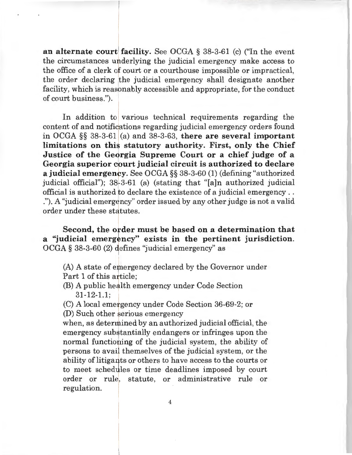**an alternate court facility.** See OCGA § 38-3-61 (c) ("In the event the circumstances underlying the judicial emergency make access to the office of a clerk of court or a courthouse impossible or impractical, the order declaring the judicial emergency shall designate another facility, which is reasonably accessible and appropriate, for the conduct of court business.").

In addition to various technical requirements regarding the content of and notifications regarding judicial emergency orders found in OCGA §§ 38-3-61 (a) and 38-3-63, **there are several important**  limitations on this statutory authority. First, only the Chief **Justice of the Georgia Supreme Court or a chief judge of a Georgia superior cpurt judicial circuit is authorized to declare a judicial emergency.** See OCGA §§ 38-3-60 (1) (defining "authorized judicial official"); 38-3-61 (a) (stating that "[a]n authorized judicial official is authorized fo declare the existence of a judicial emergency . . ."). A "judicial emergency" order issued by any other judge is not a valid<br>order under these statutes. order under these statutes.

Second, the order must be based on a determination that a "judicial emergency" exists in the pertinent jurisdiction.  $OCGA \$  38-3-60 (2) defines "judicial emergency" as

 $(A)$  A state of emergency declared by the Governor under Part 1 of this article:

- (B) A public health emergency under Code Section  $31 - 12 - 1.1$ :
- (C) A local emergency under Code Section 36-69-2; or

(D) Such other serious emergency

when, as determined by an authorized judicial official, the emergency substantially endangers or infringes upon the normal functioning of the judicial system, the ability of persons to avail themselves of the judicial system, or the ability of litigants or others to have access to the courts or to meet schedules or time deadlines imposed by court order or rule, statute, or administrative rule or regulation.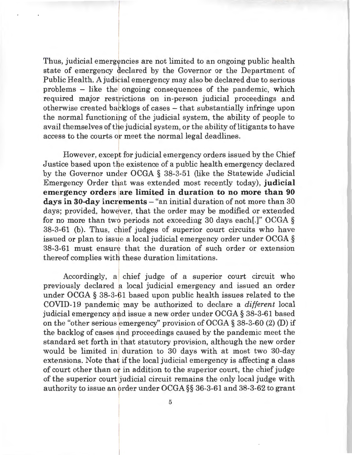Thus, judicial emergencies are not limited to an ongoing public health state of emergency declared by the Governor or the Department of Public Health. A judicial emergency may also be declared due to serious problems  $-$  like the ongoing consequences of the pandemic, which required major restrictions on in-person judicial proceedings and otherwise created backlogs of cases  $-$  that substantially infringe upon the normal functioning of the judicial system, the ability of people to avail themselves of the judicial system, or the ability of litigants to have otherwise created backlogs of cases – that substantially<br>the normal functioning of the judicial system, the abili<br>avail themselves of the judicial system, or the ability of li<br>access to the courts or meet the normal legal

However, except for judicial emergency orders issued by the Chief Justice based upon the existence of a public health emergency declared by the Governor under OCGA § 38-3-51 (like the Statewide Judicial Emergency Order that was extended most recently today), judicial **emergency orders are limited in duration to no more than 90**  days in 30-day increments – "an initial duration of not more than 30 days; provided, however, that the order may be modified or extended for no more than two periods not exceeding 30 days each[.]" OCGA  $\S$ 38-3-61 (b). Thus, chief judges of superior court circuits who have issued or plan to issue a local judicial emergency order under OCGA § 38-3-61 must ensure that the duration of such order or extension thereof complies with these duration limitations.

Accordingly, a chief judge of a superior court circuit who previously declared a local judicial emergency and issued an order under OCGA  $\S$  38-3-61 based upon public health issues related to the COVID-19 pandemic may be authorized to declare a *different* local judicial emergency and issue a new order under  $OCGA \$ § 38-3-61 based on the "other serious emergency" provision of OCGA § 38-3-60 (2) (D) if the backlog of cases and proceedings caused by the pandemic meet the standard set forth in that statutory provision, although the new order would be limited in duration to 30 days with at most two 30-day extensions. Note that if the local judicial emergency is affecting a class of court other than or in addition to the superior court, the chief judge of the superior court judicial circuit remains the only local judge with authority to issue an order under OCGA  $\S$  36-3-61 and 38-3-62 to grant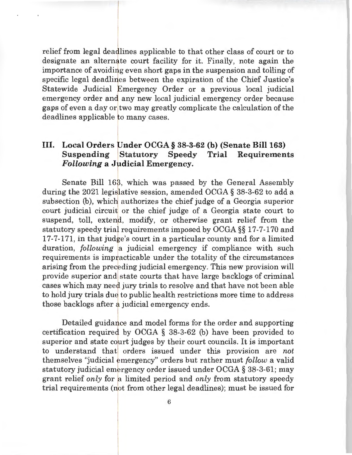relief from legal deadlines applicable to that other class of court or to designate an alternate court facility for it. Finally, note again the importance of avoiding even short gaps in the suspension and tolling of specific legal deadlines between the expiration of the Chief Justice's Statewide Judicial Emergency Order or a previous local judicial emergency order and any new local judicial emergency order because gaps of even a day or two may greatly complicate the calculation of the deadlines applicable to many cases.

### III. Local Orders Under OCGA § 38-3-62 (b) (Senate Bill 163) **Suspending Statutory Speedy Trial Requirements**  *Following* a Judicial Emergency.

Senate Bill 163, which was passed by the General Assembly during the 2021 legislative session, amended OCGA  $\S$  38-3-62 to add a subsection (b), which authorizes the chief judge of a Georgia superior court judicial circuit or the chief judge of a Georgia state court to suspend, toll, extend, modify, or otherwise grant relief from the statutory speedy trial requirements imposed by OCGA  $\S$ § 17-7-170 and 17-7-171, in that judge's court in a particular county and for a limited duration, *following* a judicial emergency if compliance with such requirements is impracticable under the totality of the circumstances arising from the preceding judicial emergency. This new provision will provide superior and state courts that have large backlogs of criminal cases which may need jury trials to resolve and that have not been able to hold jury trials due to public health restrictions more time to address those backlogs after a judicial emergency ends.

Detailed guidance and model forms for the order and supporting certification required by OCGA  $\S$  38-3-62 (b) have been provided to superior and state court judges by their court councils. It is important to understand that orders issued under this provision are *not* themselves "judicial mergency" orders but rather must *follow* a valid statutory judicial emergency order issued under OCGA  $\S$  38-3-61; may grant relief *only* for a limited period and *only* from statutory speedy trial requirements (not from other legal deadlines); must be issued for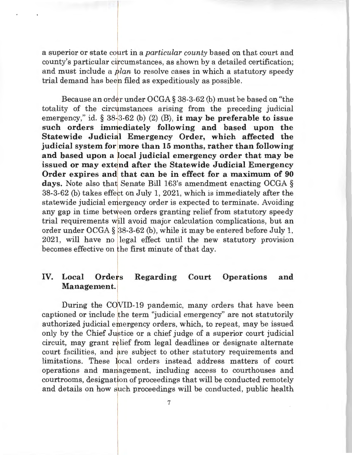a superior or state court in a *particular county* based on that court and county's particular circumstances, as shown by a detailed certification; and must include a *plan* to resolve cases in which a statutory speedy trial demand has been filed as expeditiously as possible.

Because an order under  $OCGA \$   $38-3-62$  (b) must be based on "the totality of the circumstances arising from the preceding judicial emergency," id. § 38 3-62 (b) (2) (B), **it may be preferable to issue**  such orders immediately following and based upon the Statewide Judicial Emergency Order, which affected the **judicial system for more than 15 months, rather than following**  and based upon a local judicial emergency order that may be issued or may extend after the Statewide Judicial Emergency **Order expires and that can be in effect for a maximum of 90 days.** Note also that Senate Bill 163's amendment enacting OCGA §  $38-3-62$  (b) takes effect on July 1, 2021, which is immediately after the statewide judicial emergency order is expected to terminate. Avoiding any gap in time between orders granting relief from statutory speedy trial requirements will avoid major calculation complications, but an order under OCGA § 38-3-62 (b), while it may be entered before July 1, 2021, will have no legal effect until the new statutory provision becomes effective on the first minute of that day.

#### **IV. Local**  Orders **Regarding Court Operations and Management.**

During the COVID-19 pandemic, many orders that have been captioned or include the term "judicial emergency" are not statutorily authorized judicial emergency orders, which, to repeat, may be issued only by the Chief Justice or a chief judge of a superior court judicial circuit, may grant relief from legal deadlines or designate alternate court facilities, and are subject to other statutory requirements and limitations. These local orders instead address matters of court operations and marlagement, including access to courthouses and courtrooms, designation of proceedings that will be conducted remotely and details on how such proceedings will be conducted, public health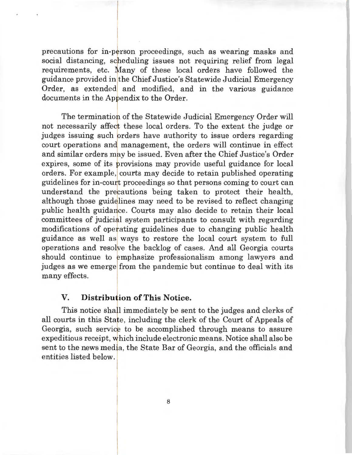precautions for in-person proceedings, such as wearing masks and social distancing, scheduling issues not requiring relief from legal requirements, etc. Many of these local orders have followed the guidance provided in the Chief Justice's Statewide Judicial Emergency Order, as extended and modified, and in the various guidance documents in the Appendix to the Order.

The termination of the Statewide Judicial Emergency Order will not necessarily affect these local orders. To the extent the judge or judges issuing such orders have authority to issue orders regarding court operations and management, the orders will continue in effect and similar orders may be issued. Even after the Chief Justice's Order expires, some of its provisions may provide useful guidance for local orders. For example, courts may decide to retain published operating guidelines for in-court proceedings so that persons coming to court can understand the precautions being taken to protect their health, although those guidelines may need to be revised to reflect changing public health guidance. Courts may also decide to retain their local committees of judicial system participants to consult with regarding modifications of operating guidelines due to changing public health guidance as well as ways to restore the local court system to full operations and resolve the backlog of cases. And all Georgia courts should continue to emphasize professionalism among lawyers and judges as we emerge from the pandemic but continue to deal with its many effects.

#### **V.** Distribution of This Notice.

This notice shall immediately be sent to the judges and clerks of all courts in this Stafe, including the clerk of the Court of Appeals of Georgia, such service to be accomplished through means to assure expeditious receipt, which include electronic means. Notice shall also be sent to the news media, the State Bar of Georgia, and the officials and entities listed below.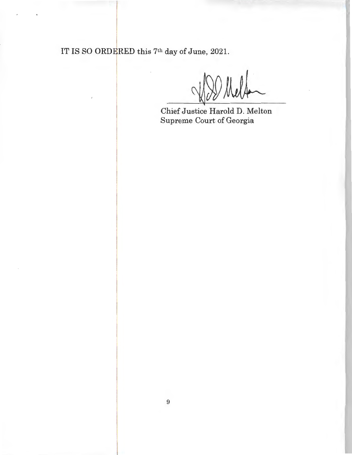IT IS SO ORDERED this  $7<sup>th</sup>$  day of June, 2021.

Chief Justice Harold D. Melton Supreme Court of Georgia